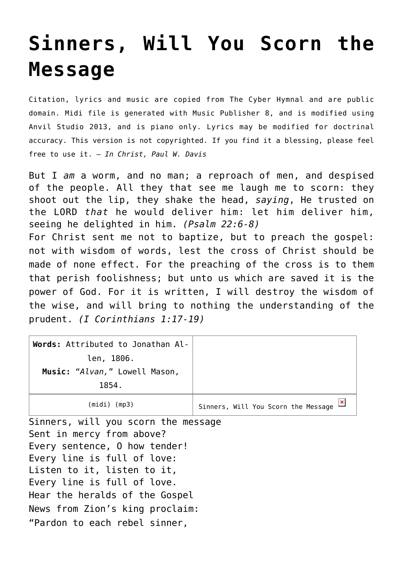## **[Sinners, Will You Scorn the](http://reproachofmen.org/hymns-and-music/sinners-will-you-scorn-the-message/) [Message](http://reproachofmen.org/hymns-and-music/sinners-will-you-scorn-the-message/)**

Citation, lyrics and music are copied from [The Cyber Hymnal](http://www.hymntime.com/tch/) and are public domain. Midi file is generated with [Music Publisher 8](http://www.braeburn.co.uk/mp.htm), and is modified using [Anvil Studio 2013](http://www.anvilstudio.com/), and is piano only. Lyrics may be modified for doctrinal accuracy. This version is not copyrighted. If you find it a blessing, please feel free to use it. — *In Christ, Paul W. Davis*

But I *am* a worm, and no man; a reproach of men, and despised of the people. All they that see me laugh me to scorn: they shoot out the lip, they shake the head, *saying*, He trusted on the LORD *that* he would deliver him: let him deliver him, seeing he delighted in him. *(Psalm 22:6-8)* For Christ sent me not to baptize, but to preach the gospel: not with wisdom of words, lest the cross of Christ should be made of none effect. For the preaching of the cross is to them that perish foolishness; but unto us which are saved it is the power of God. For it is written, I will destroy the wisdom of the wise, and will bring to nothing the understanding of the prudent. *(I Corinthians 1:17-19)*

| Words: Attributed to Jonathan Al-   |                                     |
|-------------------------------------|-------------------------------------|
| len, 1806.                          |                                     |
| Music: "Alvan," Lowell Mason,       |                                     |
| 1854.                               |                                     |
| $(midi)$ (mp3)                      | Sinners, Will You Scorn the Message |
| Sinners, will you scorn the message |                                     |

Sent in mercy from above? Every sentence, O how tender! Every line is full of love: Listen to it, listen to it, Every line is full of love. Hear the heralds of the Gospel News from Zion's king proclaim: "Pardon to each rebel sinner,